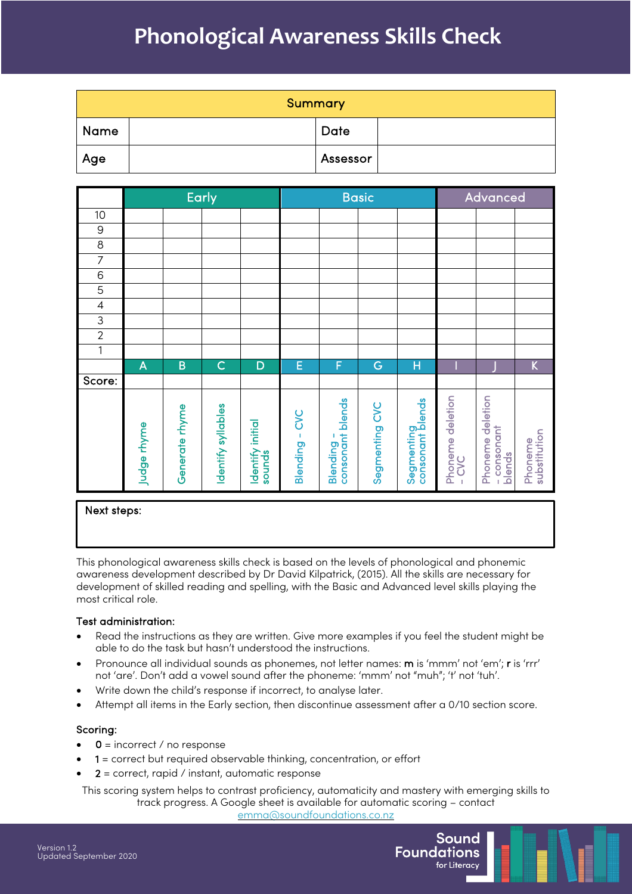# **Phonological Awareness Skills Check**

|      | <b>Summary</b> |  |
|------|----------------|--|
| Name | <b>Date</b>    |  |
| Age  | Assessor       |  |

|                |             |                | <b>Early</b>       |                            | <b>Basic</b>   |                              | Advanced       |                                |                           |                                         |                         |
|----------------|-------------|----------------|--------------------|----------------------------|----------------|------------------------------|----------------|--------------------------------|---------------------------|-----------------------------------------|-------------------------|
| 10             |             |                |                    |                            |                |                              |                |                                |                           |                                         |                         |
| $\mathsf 9$    |             |                |                    |                            |                |                              |                |                                |                           |                                         |                         |
| $\bf 8$        |             |                |                    |                            |                |                              |                |                                |                           |                                         |                         |
| $\overline{7}$ |             |                |                    |                            |                |                              |                |                                |                           |                                         |                         |
| 6              |             |                |                    |                            |                |                              |                |                                |                           |                                         |                         |
| 5              |             |                |                    |                            |                |                              |                |                                |                           |                                         |                         |
| 4              |             |                |                    |                            |                |                              |                |                                |                           |                                         |                         |
| $\mathsf 3$    |             |                |                    |                            |                |                              |                |                                |                           |                                         |                         |
| $\sqrt{2}$     |             |                |                    |                            |                |                              |                |                                |                           |                                         |                         |
| $\mathbf 1$    |             |                |                    |                            |                |                              |                |                                |                           |                                         |                         |
|                | A           | B              | $\overline{C}$     | D                          | E              | F                            | G              | Н                              |                           |                                         | $\sf K$                 |
| Score:         |             |                |                    |                            |                |                              |                |                                |                           |                                         |                         |
|                | Judge rhyme | Generate rhyme | Identify syllables | Identify initial<br>sounds | Blending - CVC | consonant blends<br>Blending | Segmenting CVC | consonant blends<br>Segmenting | Phoneme deletion<br>- CVC | Phoneme deletion<br>consonant<br>blends | substitution<br>Phoneme |

#### Next steps:

This phonological awareness skills check is based on the levels of phonological and phonemic awareness development described by Dr David Kilpatrick, (2015). All the skills are necessary for development of skilled reading and spelling, with the Basic and Advanced level skills playing the most critical role.

#### Test administration:

- Read the instructions as they are written. Give more examples if you feel the student might be able to do the task but hasn't understood the instructions.
- Pronounce all individual sounds as phonemes, not letter names: m is 'mmm' not 'em'; r is 'rrr' not 'are'. Don't add a vowel sound after the phoneme: 'mmm' not "muh"; 't' not 'tuh'.
- Write down the child's response if incorrect, to analyse later.
- Attempt all items in the Early section, then discontinue assessment after a 0/10 section score.

#### Scoring:

- $0 =$  incorrect / no response
- 1 = correct but required observable thinking, concentration, or effort
- $2$  = correct, rapid / instant, automatic response

This scoring system helps to contrast proficiency, automaticity and mastery with emerging skills to track progress. A Google sheet is available for automatic scoring – contact

emma@soundfoundations.co.nz

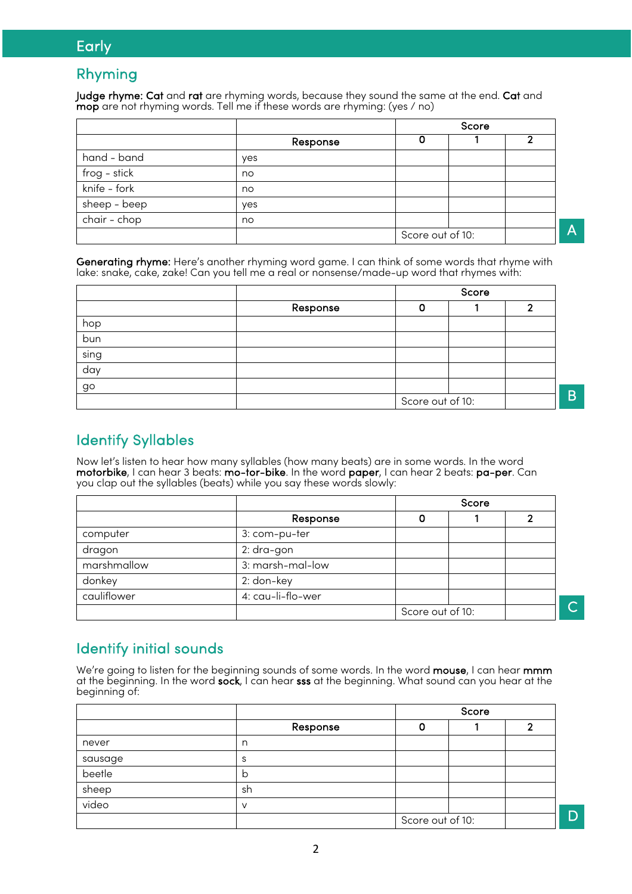# **Early**

## Rhyming

Judge rhyme: Cat and rat are rhyming words, because they sound the same at the end. Cat and mop are not rhyming words. Tell me if these words are rhyming: (yes / no)

|              |          | Score            |  |
|--------------|----------|------------------|--|
|              | Response |                  |  |
| hand - band  | yes      |                  |  |
| frog - stick | no       |                  |  |
| knife - fork | no       |                  |  |
| sheep - beep | yes      |                  |  |
| chair - chop | no       |                  |  |
|              |          | Score out of 10: |  |

Generating rhyme: Here's another rhyming word game. I can think of some words that rhyme with lake: snake, cake, zake! Can you tell me a real or nonsense/made-up word that rhymes with:

|      |          | Score            |  |   |  |
|------|----------|------------------|--|---|--|
|      | Response |                  |  | ົ |  |
| hop  |          |                  |  |   |  |
| bun  |          |                  |  |   |  |
| sing |          |                  |  |   |  |
| day  |          |                  |  |   |  |
| go   |          |                  |  |   |  |
|      |          | Score out of 10: |  |   |  |

Identify Syllables

Now let's listen to hear how many syllables (how many beats) are in some words. In the word motorbike, I can hear 3 beats: mo-tor-bike. In the word paper, I can hear 2 beats: pa-per. Can you clap out the syllables (beats) while you say these words slowly:

|             |                   | Score            |  |  |
|-------------|-------------------|------------------|--|--|
|             | Response          |                  |  |  |
| computer    | 3: com-pu-ter     |                  |  |  |
| dragon      | 2: dra-gon        |                  |  |  |
| marshmallow | 3: marsh-mal-low  |                  |  |  |
| donkey      | 2: don-key        |                  |  |  |
| cauliflower | 4: cau-li-flo-wer |                  |  |  |
|             |                   | Score out of 10: |  |  |

# Identify initial sounds

We're going to listen for the beginning sounds of some words. In the word mouse, I can hear mmm at the beginning. In the word sock, I can hear sss at the beginning. What sound can you hear at the beginning of:

|         |          |                  | Score |  |
|---------|----------|------------------|-------|--|
|         | Response |                  |       |  |
| never   | n        |                  |       |  |
| sausage | S        |                  |       |  |
| beetle  | b        |                  |       |  |
| sheep   | sh       |                  |       |  |
| video   | $\vee$   |                  |       |  |
|         |          | Score out of 10: |       |  |

D

B

 $\overline{\mathsf{C}}$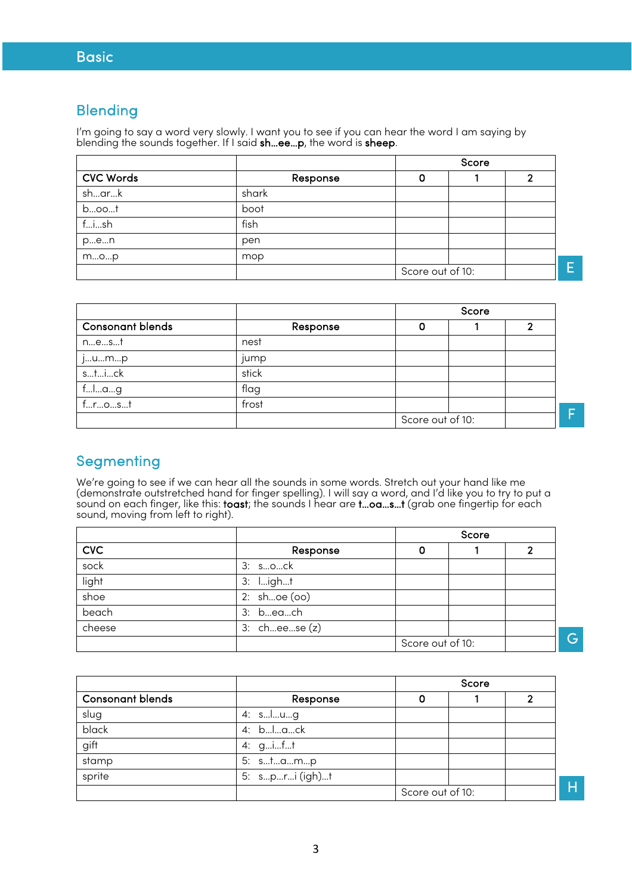### Blending

I'm going to say a word very slowly. I want you to see if you can hear the word I am saying by blending the sounds together. If I said sh…ee…p, the word is sheep.

|                  |          |                  | Score |   |
|------------------|----------|------------------|-------|---|
| <b>CVC Words</b> | Response |                  |       |   |
| sh…ar…k          | shark    |                  |       |   |
| $b$ oot          | boot     |                  |       |   |
| fish             | fish     |                  |       |   |
| pen              | pen      |                  |       |   |
| mop              | mop      |                  |       |   |
|                  |          | Score out of 10: |       | E |

|                         | Score    |                  |  |  |
|-------------------------|----------|------------------|--|--|
| <b>Consonant blends</b> | Response |                  |  |  |
| nest                    | nest     |                  |  |  |
| jump                    | jump     |                  |  |  |
| stick                   | stick    |                  |  |  |
| flag                    | flag     |                  |  |  |
| frost                   | frost    |                  |  |  |
|                         |          | Score out of 10: |  |  |

# **Segmenting**

We're going to see if we can hear all the sounds in some words. Stretch out your hand like me (demonstrate outstretched hand for finger spelling). I will say a word, and I'd like you to try to put a sound on each finger, like this: **toast**; the sounds I hear are **t…oa…s…t** (grab one fingertip for each sound, moving from left to right).

|            |               |                  | Score |   |
|------------|---------------|------------------|-------|---|
| <b>CVC</b> | Response      |                  |       |   |
| sock       | 3: sock       |                  |       |   |
| light      | 3: light      |                  |       |   |
| shoe       | 2: shoe (oo)  |                  |       |   |
| beach      | 3: beach      |                  |       |   |
| cheese     | 3: cheese (z) |                  |       |   |
|            |               | Score out of 10: |       | G |

|                         |                | Score            |  |  |
|-------------------------|----------------|------------------|--|--|
| <b>Consonant blends</b> | Response       |                  |  |  |
| slug                    | 4: slug        |                  |  |  |
| black                   | 4: black       |                  |  |  |
| gift                    | 4: gift        |                  |  |  |
| stamp                   | 5: stamp       |                  |  |  |
| sprite                  | 5: spri (igh)t |                  |  |  |
|                         |                | Score out of 10: |  |  |

H